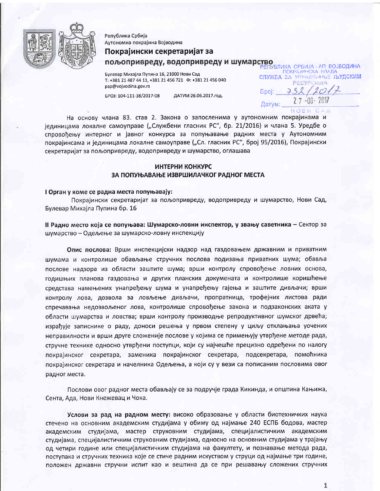

Република Србија Аутономна покрајина Војводина

# Покрајински секретаријат за

# пољопривреду, водопривреду и шумарство

Булевар Михаіла Пупина 16, 21000 Нови Сад T: +381 21 487 44 11, +381 21 456 721  $\Phi$ : +381 21 456 040 psp@vojvodina.gov.rs

БРОЈ: 104-111-38/2017-08 ЛАТУМ:26.06.2017.ron.

РЕПУБЛИКА СРБИЈА - АП ВОЈВОДИНА **ПОКРАЈИНСКА ВЛАДА СЛУЖЕА ЗА УПРАВЛЬАНЬЕ ЉУДСКИМ PECYPOWIMA**  $5poj: 732$ 2 7 -06- 2017 Датум:

НОВИ САД

На основу члана 83. став 2. Закона о запосленима у аутономним покрајинама и јединицама локалне самоуправе ("Службени гласник РС", бр. 21/2016) и члана 5. Уредбе о спровођењу интерног и јавног конкурса за попуњавање радних места у Аутономним покрајинсама и јединицама локалне самоуправе ("Сл. гласник РС", број 95/2016), Покрајински секретаријат за пољопривреду, водопривреду и шумарство, оглашава

# ИНТЕРНИ КОНКУРС ЗА ПОПУЊАВАЊЕ ИЗВРШИЛАЧКОГ РАДНОГ МЕСТА

### I Орган у коме се радна места попуњавају:

Покрајински секретаријат за пољопривреду, водопривреду и шумарство, Нови Сад, Булевар Михајла Пупина бр. 16

# II Радно место која се попуњава: Шумарско-ловни инспектор, у звању саветника - Сектор за шумарство - Одељење за шумарско-ловну инспекцију

Опис послова: Врши инспекцијски надзор над газдовањем државним и приватним шумама и контролише обављање стручних послова подизања приватних шума; обавља послове надзора из области заштите шума; врши контролу спровођење ловних основа, годишњих планова газдовања и других планских докумената и контролише коришћење средстава намењених унапређењу шума и унапређењу гајења и заштите дивљачи; врши контролу лова, дозвола за ловљење дивљачи, пропратница, трофејних листова ради спречавања недозвољеног лова, контролише спровођење закона и подзаконских аката у области шумарства и ловства; врши контролу производње репродуктивног шумског дрвећа; израђује записнике о раду, доноси решења у првом степену у циљу отклањања уочених неправилности и врши друге сложеније послове у којима се примењују утврђене методе рада, стручне технике односно утврђени поступци, који су најчешће прецизно одређени по налогу покрајинског секретара, заменика покрајинског секретара, подсекретара, помоћника покрајинског секретара и начелника Одељења, а који су у вези са пописаним пословима овог радног места.

Послови овог радног места обављају се за подручје града Кикинда, и општина Кањижа, Сента, Ада, Нови Кнежевац и Чока.

Услови за рад на радном месту: високо образовање у области биотехничких наука стечено на основним академским студијама у обиму од најмање 240 ЕСПБ бодова, мастер академским студијама, мастер струковним студијама, специјалистичким академским студијама, специјалистичким струковним студијама, односно на основним студијама у трајању од четири године или специјалистичким студијама на факултету, и познавање метода рада, поступака и стручних техника које се стиче радним искуством у струци од најмање три године, положен државни стручни испит као и вештина да се при решавању сложених стручних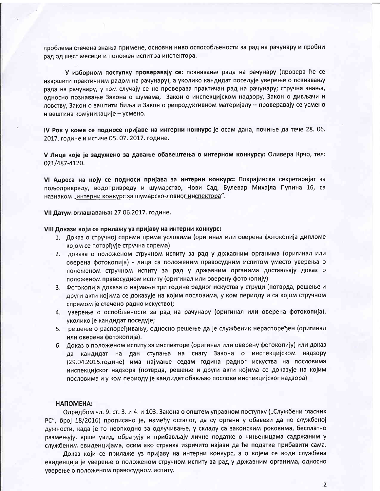проблема стечена знања примене, основни ниво оспособљености за рад на рачунару и пробни рад од шест месеци и положен испит за инспектора.

У изборном поступку проверавају се: познавање рада на рачунару (провера ће се извршити практичним радом на рачунару), а уколико кандидат поседује уверење о познавању рада на рачунару, у том случају се не проверава практичан рад на рачунару; стручна знања, односно познавање Закона о шумама, Закон о инспекцијском надзору, Закон о дивљачи и ловству, Закон о заштити биља и Закон о репродуктивном материјалу - проверавају се усмено и вештина комуникације - усмено.

IV Рок у коме се подносе пријаве на интерни конкурс је осам дана, почиње да тече 28. 06. 2017. године и истиче 05. 07. 2017. године.

V Лице које је задужено за давање обавештења о интерном конкурсу: Оливера Крчо, тел: 021/487-4120.

VI Адреса на коју се подноси пријава за интерни конкурс: Покрајински секретаријат за пољопривреду, водопривреду и шумарство, Нови Сад, Булевар Михајла Пупина 16, са назнаком "интерни конкурс за шумарско-ловног инспектора".

VII Датум оглашавања: 27.06.2017. године.

### VIII Докази који се прилажу уз пријаву на интерни конкурс:

- 1. Доказ о стручној спреми према условима (оригинал или оверена фотокопија дипломе којом се потврђује стручна спрема)
- 2. доказа о положеном стручном испиту за рад у државним органима (оригинал или оверена фотокопија) - лица са положеним правосудним испитом уместо уверења о положеном стручном испиту за рад у државним органима достављају доказ о положеном правосудном испиту (оригинал или оверену фотокопију)
- 3. Фотокопија доказа о најмање три године радног искуства у струци (потврда, решење и други акти којима се доказује на којим пословима, у ком периоду и са којом стручном спремом је стечено радно искуство);
- 4. уверење о оспобљености за рад на рачунару (оригинал или оверена фотокопија), уколико је кандидат поседује;
- 5. решење о распоређивању, односно решење да је службеник нераспоређен (оригинал или оверена фотокопија).
- 6. Доказ о положеном испиту за инспекторе (оригинал или оверену фотокопију) или доказ да кандидат на дан ступања на снагу Закона о инспекцијском надзору (29.04.2015.године) има најмање седам година радног искуства на пословима инспекцијског надзора (потврда, решење и други акти којима се доказује на којим пословима и у ком периоду је кандидат обављао послове инспекцијског надзора)

## НАПОМЕНА:

Одредбом чл. 9. ст. 3. и 4. и 103. Закона о општем управном поступку ("Службени гласник РС", број 18/2016) прописано је, између осталог, да су органи у обавези да по службеној дужности, када је то неопходно за одлучивање, у складу са законским роковима, бесплатно размењују, врше увид, обрађују и прибављају личне податке о чињеницама садржаним у службеним евиденцијама, осим ако странка изричито изјави да ће податке прибавити сама.

Доказ који се прилаже уз пријаву на интерни конкурс, а о којем се води службена евиденција је уверење о положеном стручном испиту за рад у државним органима, односно уверење о положеном правосудном испиту.